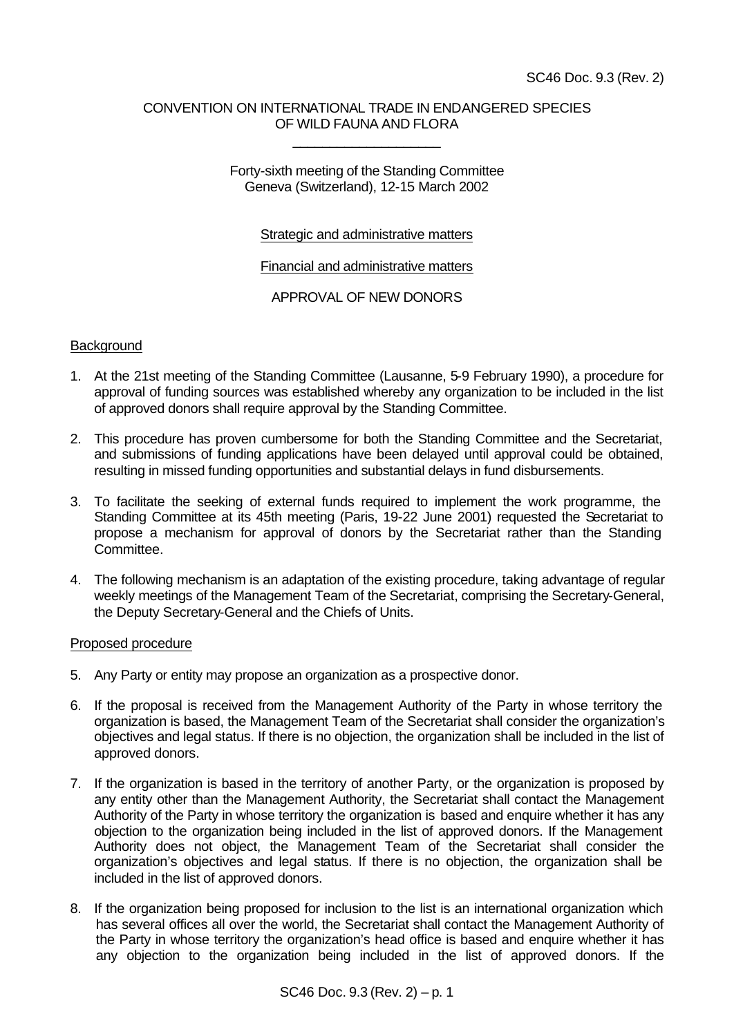## CONVENTION ON INTERNATIONAL TRADE IN ENDANGERED SPECIES OF WILD FAUNA AND FLORA

\_\_\_\_\_\_\_\_\_\_\_\_\_\_\_\_\_\_\_\_

Forty-sixth meeting of the Standing Committee Geneva (Switzerland), 12-15 March 2002

## Strategic and administrative matters

Financial and administrative matters

APPROVAL OF NEW DONORS

## **Background**

- 1. At the 21st meeting of the Standing Committee (Lausanne, 5-9 February 1990), a procedure for approval of funding sources was established whereby any organization to be included in the list of approved donors shall require approval by the Standing Committee.
- 2. This procedure has proven cumbersome for both the Standing Committee and the Secretariat, and submissions of funding applications have been delayed until approval could be obtained, resulting in missed funding opportunities and substantial delays in fund disbursements.
- 3. To facilitate the seeking of external funds required to implement the work programme, the Standing Committee at its 45th meeting (Paris, 19-22 June 2001) requested the Secretariat to propose a mechanism for approval of donors by the Secretariat rather than the Standing Committee.
- 4. The following mechanism is an adaptation of the existing procedure, taking advantage of regular weekly meetings of the Management Team of the Secretariat, comprising the Secretary-General, the Deputy Secretary-General and the Chiefs of Units.

#### Proposed procedure

- 5. Any Party or entity may propose an organization as a prospective donor.
- 6. If the proposal is received from the Management Authority of the Party in whose territory the organization is based, the Management Team of the Secretariat shall consider the organization's objectives and legal status. If there is no objection, the organization shall be included in the list of approved donors.
- 7. If the organization is based in the territory of another Party, or the organization is proposed by any entity other than the Management Authority, the Secretariat shall contact the Management Authority of the Party in whose territory the organization is based and enquire whether it has any objection to the organization being included in the list of approved donors. If the Management Authority does not object, the Management Team of the Secretariat shall consider the organization's objectives and legal status. If there is no objection, the organization shall be included in the list of approved donors.
- 8. If the organization being proposed for inclusion to the list is an international organization which has several offices all over the world, the Secretariat shall contact the Management Authority of the Party in whose territory the organization's head office is based and enquire whether it has any objection to the organization being included in the list of approved donors. If the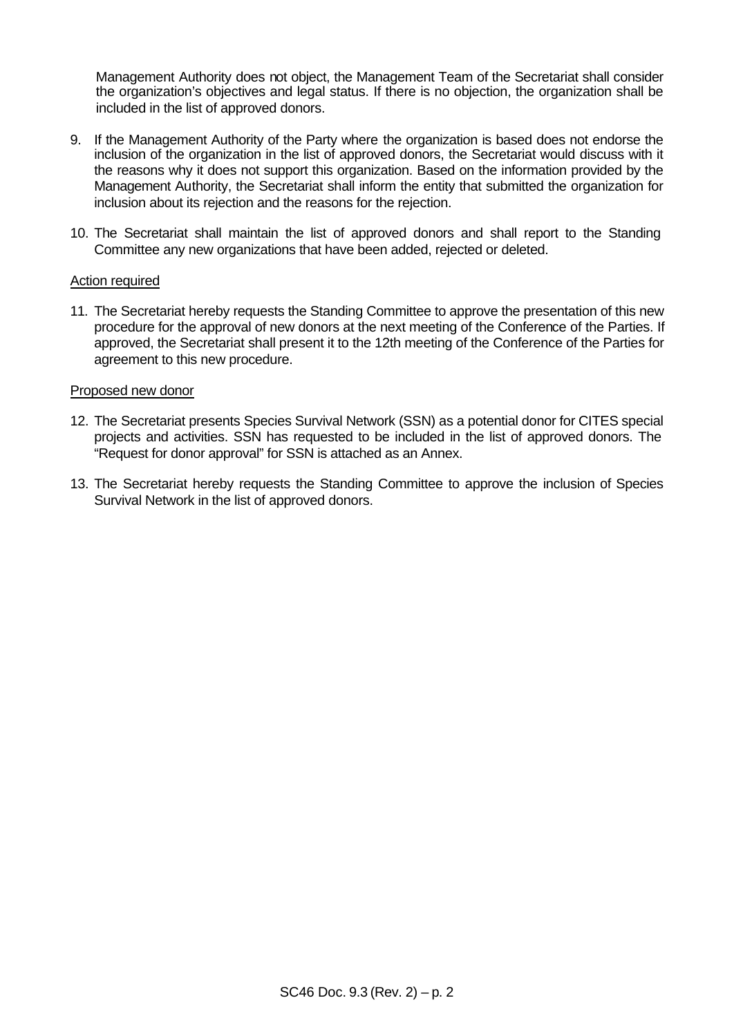Management Authority does not object, the Management Team of the Secretariat shall consider the organization's objectives and legal status. If there is no objection, the organization shall be included in the list of approved donors.

- 9. If the Management Authority of the Party where the organization is based does not endorse the inclusion of the organization in the list of approved donors, the Secretariat would discuss with it the reasons why it does not support this organization. Based on the information provided by the Management Authority, the Secretariat shall inform the entity that submitted the organization for inclusion about its rejection and the reasons for the rejection.
- 10. The Secretariat shall maintain the list of approved donors and shall report to the Standing Committee any new organizations that have been added, rejected or deleted.

#### Action required

11. The Secretariat hereby requests the Standing Committee to approve the presentation of this new procedure for the approval of new donors at the next meeting of the Conference of the Parties. If approved, the Secretariat shall present it to the 12th meeting of the Conference of the Parties for agreement to this new procedure.

## Proposed new donor

- 12. The Secretariat presents Species Survival Network (SSN) as a potential donor for CITES special projects and activities. SSN has requested to be included in the list of approved donors. The "Request for donor approval" for SSN is attached as an Annex.
- 13. The Secretariat hereby requests the Standing Committee to approve the inclusion of Species Survival Network in the list of approved donors.